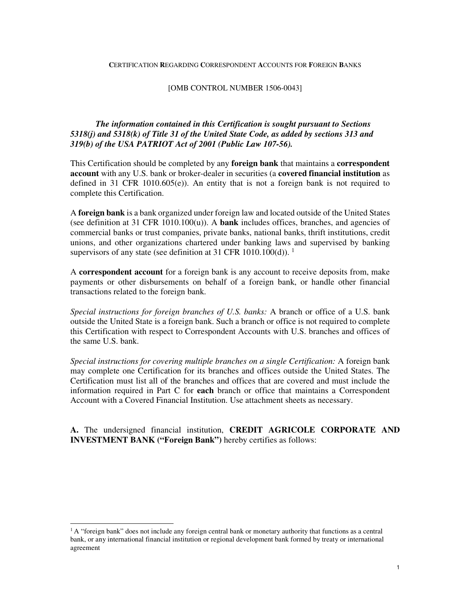#### **C**ERTIFICATION **R**EGARDING **C**ORRESPONDENT **A**CCOUNTS FOR **F**OREIGN **B**ANKS

#### [OMB CONTROL NUMBER 1506-0043]

# *The information contained in this Certification is sought pursuant to Sections 5318(j) and 5318(k) of Title 31 of the United State Code, as added by sections 313 and 319(b) of the USA PATRIOT Act of 2001 (Public Law 107-56).*

This Certification should be completed by any **foreign bank** that maintains a **correspondent account** with any U.S. bank or broker-dealer in securities (a **covered financial institution** as defined in 31 CFR 1010.605(e)). An entity that is not a foreign bank is not required to complete this Certification.

A **foreign bank** is a bank organized under foreign law and located outside of the United States (see definition at 31 CFR 1010.100(u)). A **bank** includes offices, branches, and agencies of commercial banks or trust companies, private banks, national banks, thrift institutions, credit unions, and other organizations chartered under banking laws and supervised by banking supervisors of any state (see definition at 31 CFR 1010.100(d)). <sup>1</sup>

A **correspondent account** for a foreign bank is any account to receive deposits from, make payments or other disbursements on behalf of a foreign bank, or handle other financial transactions related to the foreign bank.

*Special instructions for foreign branches of U.S. banks:* A branch or office of a U.S. bank outside the United State is a foreign bank. Such a branch or office is not required to complete this Certification with respect to Correspondent Accounts with U.S. branches and offices of the same U.S. bank.

*Special instructions for covering multiple branches on a single Certification:* A foreign bank may complete one Certification for its branches and offices outside the United States. The Certification must list all of the branches and offices that are covered and must include the information required in Part C for **each** branch or office that maintains a Correspondent Account with a Covered Financial Institution. Use attachment sheets as necessary.

**A.** The undersigned financial institution, **CREDIT AGRICOLE CORPORATE AND INVESTMENT BANK ("Foreign Bank")** hereby certifies as follows:

 $\overline{a}$ 

 $1A$  "foreign bank" does not include any foreign central bank or monetary authority that functions as a central bank, or any international financial institution or regional development bank formed by treaty or international agreement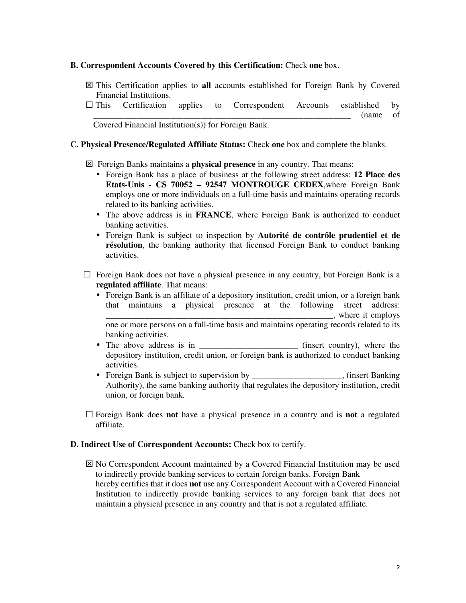### **B. Correspondent Accounts Covered by this Certification:** Check **one** box.

 This Certification applies to **all** accounts established for Foreign Bank by Covered Financial Institutions.

 $\Box$  This Certification applies to Correspondent Accounts established by  $(name$  of

Covered Financial Institution(s)) for Foreign Bank.

### **C. Physical Presence/Regulated Affiliate Status:** Check **one** box and complete the blanks.

Foreign Banks maintains a **physical presence** in any country. That means:

- Foreign Bank has a place of business at the following street address: **12 Place des Etats-Unis - CS 70052 – 92547 MONTROUGE CEDEX**,where Foreign Bank employs one or more individuals on a full-time basis and maintains operating records related to its banking activities.
- The above address is in **FRANCE**, where Foreign Bank is authorized to conduct banking activities.
- Foreign Bank is subject to inspection by **Autorité de contrôle prudentiel et de résolution**, the banking authority that licensed Foreign Bank to conduct banking activities.
- Foreign Bank does not have a physical presence in any country, but Foreign Bank is a **regulated affiliate**. That means:
	- Foreign Bank is an affiliate of a depository institution, credit union, or a foreign bank that maintains a physical presence at the following street address: \_\_\_\_\_\_\_\_\_\_\_\_\_\_\_\_\_\_\_\_\_\_\_\_\_\_\_\_\_\_\_\_\_\_\_\_\_\_\_\_\_\_\_\_\_\_\_\_\_\_\_\_\_, where it employs one or more persons on a full-time basis and maintains operating records related to its banking activities.
	- The above address is in  $(insert country)$ , where the depository institution, credit union, or foreign bank is authorized to conduct banking activities.
	- Foreign Bank is subject to supervision by example the subset Banking (insert Banking Authority), the same banking authority that regulates the depository institution, credit union, or foreign bank.
- Foreign Bank does **not** have a physical presence in a country and is **not** a regulated affiliate.

### **D. Indirect Use of Correspondent Accounts: Check box to certify.**

 No Correspondent Account maintained by a Covered Financial Institution may be used to indirectly provide banking services to certain foreign banks. Foreign Bank hereby certifies that it does **not** use any Correspondent Account with a Covered Financial Institution to indirectly provide banking services to any foreign bank that does not maintain a physical presence in any country and that is not a regulated affiliate.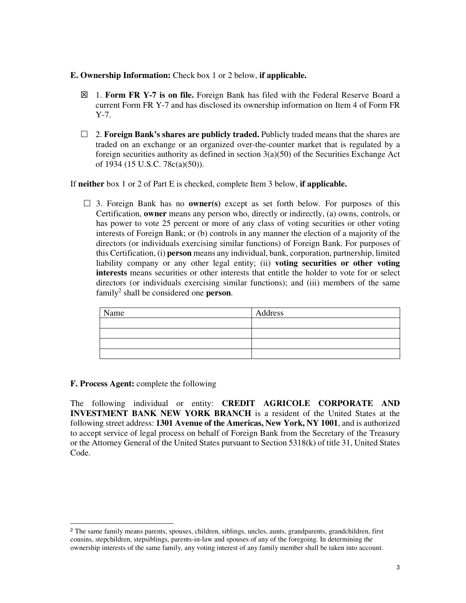- **E. Ownership Information:** Check box 1 or 2 below, **if applicable.** 
	- 1. **Form FR Y-7 is on file.** Foreign Bank has filed with the Federal Reserve Board a current Form FR Y-7 and has disclosed its ownership information on Item 4 of Form FR Y-7.
	- 2. **Foreign Bank's shares are publicly traded.** Publicly traded means that the shares are traded on an exchange or an organized over-the-counter market that is regulated by a foreign securities authority as defined in section 3(a)(50) of the Securities Exchange Act of 1934 (15 U.S.C. 78c(a)(50)).

If **neither** box 1 or 2 of Part E is checked, complete Item 3 below, **if applicable.** 

 $\Box$  3. Foreign Bank has no **owner(s)** except as set forth below. For purposes of this Certification, **owner** means any person who, directly or indirectly, (a) owns, controls, or has power to vote 25 percent or more of any class of voting securities or other voting interests of Foreign Bank; or (b) controls in any manner the election of a majority of the directors (or individuals exercising similar functions) of Foreign Bank. For purposes of this Certification, (i) **person** means any individual, bank, corporation, partnership, limited liability company or any other legal entity; (ii) **voting securities or other voting interests** means securities or other interests that entitle the holder to vote for or select directors (or individuals exercising similar functions); and (iii) members of the same family<sup>2</sup> shall be considered one **person**.

| Name | Address |
|------|---------|
|      |         |
|      |         |
|      |         |
|      |         |

#### **F. Process Agent:** complete the following

L

The following individual or entity: **CREDIT AGRICOLE CORPORATE AND INVESTMENT BANK NEW YORK BRANCH** is a resident of the United States at the following street address: **1301 Avenue of the Americas, New York, NY 1001**, and is authorized to accept service of legal process on behalf of Foreign Bank from the Secretary of the Treasury or the Attorney General of the United States pursuant to Section 5318(k) of title 31, United States Code.

<sup>&</sup>lt;sup>2</sup> The same family means parents, spouses, children, siblings, uncles, aunts, grandparents, grandchildren, first cousins, stepchildren, stepsiblings, parents-in-law and spouses of any of the foregoing. In determining the ownership interests of the same family, any voting interest of any family member shall be taken into account.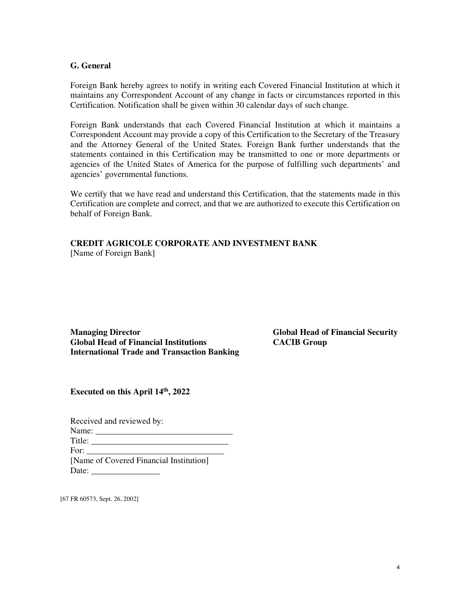#### **G. General**

Foreign Bank hereby agrees to notify in writing each Covered Financial Institution at which it maintains any Correspondent Account of any change in facts or circumstances reported in this Certification. Notification shall be given within 30 calendar days of such change.

Foreign Bank understands that each Covered Financial Institution at which it maintains a Correspondent Account may provide a copy of this Certification to the Secretary of the Treasury and the Attorney General of the United States. Foreign Bank further understands that the statements contained in this Certification may be transmitted to one or more departments or agencies of the United States of America for the purpose of fulfilling such departments' and agencies' governmental functions.

We certify that we have read and understand this Certification, that the statements made in this Certification are complete and correct, and that we are authorized to execute this Certification on behalf of Foreign Bank.

## **CREDIT AGRICOLE CORPORATE AND INVESTMENT BANK**  [Name of Foreign Bank]

**Managing Director Global Head of Financial Security Global Head of Financial Institutions CACIB Group International Trade and Transaction Banking** 

**Executed on this April 14th, 2022**

| Received and reviewed by:                                                                                                                                                                                                      |  |  |  |  |  |  |
|--------------------------------------------------------------------------------------------------------------------------------------------------------------------------------------------------------------------------------|--|--|--|--|--|--|
|                                                                                                                                                                                                                                |  |  |  |  |  |  |
| Title:                                                                                                                                                                                                                         |  |  |  |  |  |  |
| For: the contract of the contract of the contract of the contract of the contract of the contract of the contract of the contract of the contract of the contract of the contract of the contract of the contract of the contr |  |  |  |  |  |  |
| [Name of Covered Financial Institution]                                                                                                                                                                                        |  |  |  |  |  |  |
| Date:                                                                                                                                                                                                                          |  |  |  |  |  |  |

[67 FR 60573, Sept. 26, 2002]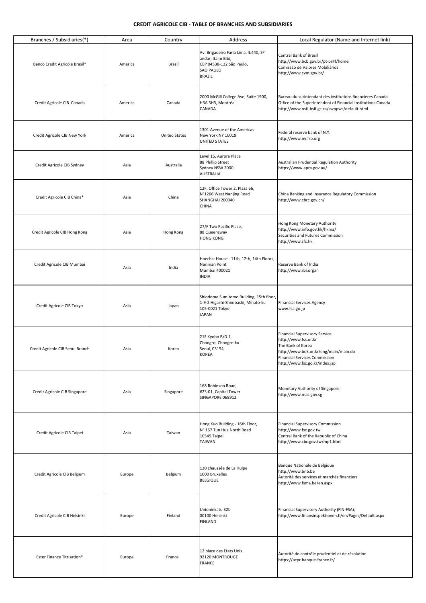#### **CREDIT AGRICOLE CIB - TABLE OF BRANCHES AND SUBSIDIARIES**

| Branches / Subsidiaries(*)       | Area    | Country              | Address                                                                                                                     | Local Regulator (Name and Internet link)                                                                                                                                                      |
|----------------------------------|---------|----------------------|-----------------------------------------------------------------------------------------------------------------------------|-----------------------------------------------------------------------------------------------------------------------------------------------------------------------------------------------|
| Banco Credit Agricole Brasil*    | America | Brazil               | Av. Brigadeiro Faria Lima, 4.440, 3º<br>andar, Itaim Bibi,<br>CEP 04538-132 São Paulo,<br><b>SAO PAULO</b><br><b>BRAZIL</b> | Central Bank of Brasil<br>http://www.bcb.gov.br/pt-br#!/home<br>Comissão de Valores Mobiliários<br>http://www.cvm.gov.br/                                                                     |
| Credit Agricole CIB Canada       | America | Canada               | 2000 McGill College Ave, Suite 1900,<br>H3A 3H3, Montréal<br>CANADA                                                         | Bureau du surintendant des institutions financières Canada<br>Office of the Superintendent of Financial Institutions Canada<br>http://www.osfi-bsif.gc.ca/swppws/default.html                 |
| Credit Agricole CIB New York     | America | <b>United States</b> | 1301 Avenue of the Americas<br>New York NY 10019<br><b>UNITED STATES</b>                                                    | Federal reserve bank of N.Y.<br>http://www.ny.frb.org                                                                                                                                         |
| Credit Agricole CIB Sydney       | Asia    | Australia            | Level 15, Aurora Place<br>88 Phillip Street<br>Sydney NSW 2000<br><b>AUSTRALIA</b>                                          | Australian Prudential Regulation Authority<br>https://www.apra.gov.au/                                                                                                                        |
| Credit Agricole CIB China*       | Asia    | China                | 12F, Office Tower 2, Plaza 66,<br>N°1266 West Nanjing Road<br>SHANGHAI 200040<br>CHINA                                      | China Banking and Insurance Regulatory Commission<br>http://www.cbrc.gov.cn/                                                                                                                  |
| Credit Agricole CIB Hong Kong    | Asia    | Hong Kong            | 27/F Two Pacific Place,<br>88 Queensway<br><b>HONG KONG</b>                                                                 | Hong Kong Monetary Authority<br>http://www.info.gov.hk/hkma/<br>Securities and Futures Commission<br>http://www.sfc.hk                                                                        |
| Credit Agricole CIB Mumbai       | Asia    | India                | Hoechst House - 11th, 12th, 14th Floors,<br>Nariman Point<br>Mumbai 400021<br><b>INDIA</b>                                  | Reserve Bank of India<br>http://www.rbi.org.in                                                                                                                                                |
| Credit Agricole CIB Tokyo        | Asia    | Japan                | Shiodome Sumitomo Building, 15th floor,<br>1-9-2 Higashi-Shimbashi, Minato-ku<br>105-0021 Tokyo<br><b>JAPAN</b>             | <b>Financial Services Agency</b><br>www.fsa.go.jp                                                                                                                                             |
| Credit Agricole CIB Seoul Branch | Asia    | Korea                | 21F Kyobo B/D 1,<br>Chongro, Chongro-ku<br>Seoul, 03154,<br><b>KOREA</b>                                                    | <b>Financial Supervisory Service</b><br>http://www.fss.or.kr<br>The Bank of Korea<br>http://www.bok.or.kr/eng/main/main.do<br>Financial Services Commission<br>http://www.fsc.go.kr/index.jsp |
| Credit Agricole CIB Singapore    | Asia    | Singapore            | 168 Robinson Road,<br>#23-01, Capital Tower<br>SINGAPORE 068912                                                             | Monetary Authority of Singapore<br>http://www.mas.gov.sg                                                                                                                                      |
| Credit Agricole CIB Taipei       | Asia    | Taiwan               | Hong Kuo Building - 16th Floor,<br>N° 167 Tun Hua North Road<br>10549 Taipei<br>TAIWAN                                      | <b>Financial Supervisory Commission</b><br>http://www.fsc.gov.tw<br>Central Bank of the Republic of China<br>http://www.cbc.gov.tw/mp1.html                                                   |
| Credit Agricole CIB Belgium      | Europe  | Belgium              | 120 chaussée de La Hulpe<br>1000 Bruxelles<br><b>BELGIQUE</b>                                                               | Banque Nationale de Belgique<br>http://www.bnb.be<br>Autorité des services et marchés financiers<br>http://www.fsma.be/en.aspx                                                                |
| Credit Agricole CIB Helsinki     | Europe  | Finland              | Unioninkatu 32b<br>00100 Helsinki<br><b>FINLAND</b>                                                                         | Financial Supervisory Authority (FIN-FSA),<br>http://www.finansinspektionen.fi/en/Pages/Default.aspx                                                                                          |
| Ester Finance Titrisation*       | Europe  | France               | 12 place des Etats Unis<br>92120 MONTROUGE<br><b>FRANCE</b>                                                                 | Autorité de contrôle prudentiel et de résolution<br>https://acpr.banque-france.fr/                                                                                                            |